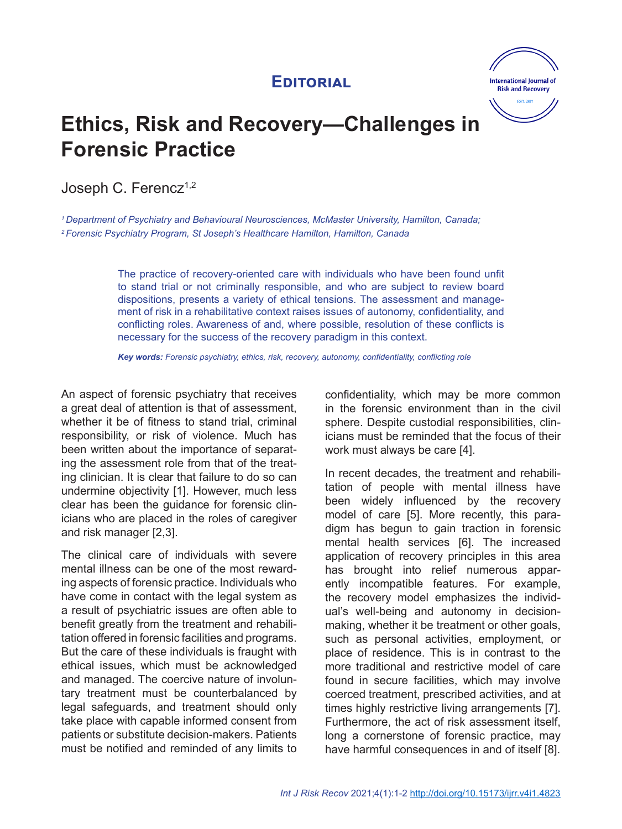## **Editorial**



# **Ethics, Risk and Recovery—Challenges in Forensic Practice**

Joseph C. Ferencz<sup>1,2</sup>

*1 Department of Psychiatry and Behavioural Neurosciences, McMaster University, Hamilton, Canada; 2 Forensic Psychiatry Program, St Joseph's Healthcare Hamilton, Hamilton, Canada*

> The practice of recovery-oriented care with individuals who have been found unfit to stand trial or not criminally responsible, and who are subject to review board dispositions, presents a variety of ethical tensions. The assessment and management of risk in a rehabilitative context raises issues of autonomy, confidentiality, and conflicting roles. Awareness of and, where possible, resolution of these conflicts is necessary for the success of the recovery paradigm in this context.

*Key words: Forensic psychiatry, ethics, risk, recovery, autonomy, confidentiality, conflicting role*

An aspect of forensic psychiatry that receives a great deal of attention is that of assessment, whether it be of fitness to stand trial, criminal responsibility, or risk of violence. Much has been written about the importance of separating the assessment role from that of the treating clinician. It is clear that failure to do so can undermine objectivity [1]. However, much less clear has been the guidance for forensic clinicians who are placed in the roles of caregiver and risk manager [2,3].

The clinical care of individuals with severe mental illness can be one of the most rewarding aspects of forensic practice. Individuals who have come in contact with the legal system as a result of psychiatric issues are often able to benefit greatly from the treatment and rehabilitation offered in forensic facilities and programs. But the care of these individuals is fraught with ethical issues, which must be acknowledged and managed. The coercive nature of involuntary treatment must be counterbalanced by legal safeguards, and treatment should only take place with capable informed consent from patients or substitute decision-makers. Patients must be notified and reminded of any limits to confidentiality, which may be more common in the forensic environment than in the civil sphere. Despite custodial responsibilities, clinicians must be reminded that the focus of their work must always be care [4].

In recent decades, the treatment and rehabilitation of people with mental illness have been widely influenced by the recovery model of care [5]. More recently, this paradigm has begun to gain traction in forensic mental health services [6]. The increased application of recovery principles in this area has brought into relief numerous apparently incompatible features. For example, the recovery model emphasizes the individual's well-being and autonomy in decisionmaking, whether it be treatment or other goals, such as personal activities, employment, or place of residence. This is in contrast to the more traditional and restrictive model of care found in secure facilities, which may involve coerced treatment, prescribed activities, and at times highly restrictive living arrangements [7]. Furthermore, the act of risk assessment itself, long a cornerstone of forensic practice, may have harmful consequences in and of itself [8].